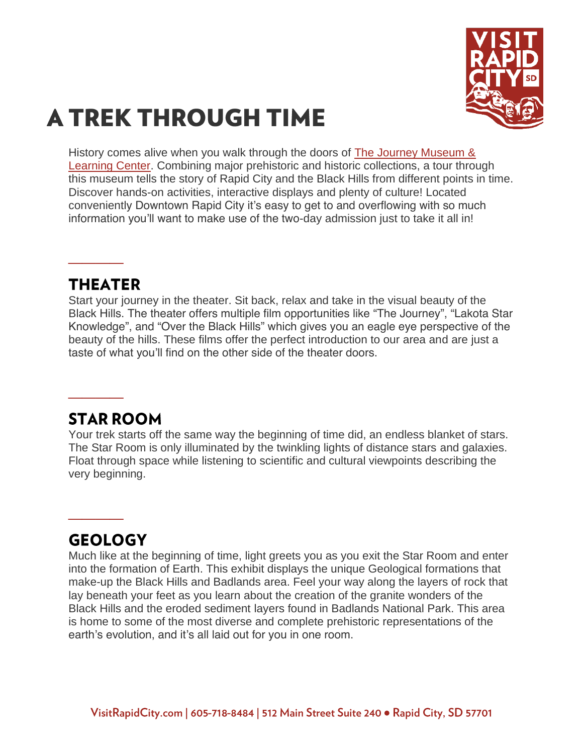

# **A TREK THROUGH TIME**

History comes alive when you walk through the doors of [The Journey Museum &](https://www.visitrapidcity.com/things-to-do/arts-culture/journey-museum-learning-center)  [Learning Center.](https://www.visitrapidcity.com/things-to-do/arts-culture/journey-museum-learning-center) Combining major prehistoric and historic collections, a tour through this museum tells the story of Rapid City and the Black Hills from different points in time. Discover hands-on activities, interactive displays and plenty of culture! Located conveniently Downtown Rapid City it's easy to get to and overflowing with so much information you'll want to make use of the two-day admission just to take it all in!

#### THEATER

**\_\_\_\_**

Start your journey in the theater. Sit back, relax and take in the visual beauty of the Black Hills. The theater offers multiple film opportunities like "The Journey", "Lakota Star Knowledge", and "Over the Black Hills" which gives you an eagle eye perspective of the beauty of the hills. These films offer the perfect introduction to our area and are just a taste of what you'll find on the other side of the theater doors.

## **STAR ROOM**

**\_\_\_\_**

Your trek starts off the same way the beginning of time did, an endless blanket of stars. The Star Room is only illuminated by the twinkling lights of distance stars and galaxies. Float through space while listening to scientific and cultural viewpoints describing the very beginning.

# **GEOLOGY**

**\_\_\_\_**

Much like at the beginning of time, light greets you as you exit the Star Room and enter into the formation of Earth. This exhibit displays the unique Geological formations that make-up the Black Hills and Badlands area. Feel your way along the layers of rock that lay beneath your feet as you learn about the creation of the granite wonders of the Black Hills and the eroded sediment layers found in Badlands National Park. This area is home to some of the most diverse and complete prehistoric representations of the earth's evolution, and it's all laid out for you in one room.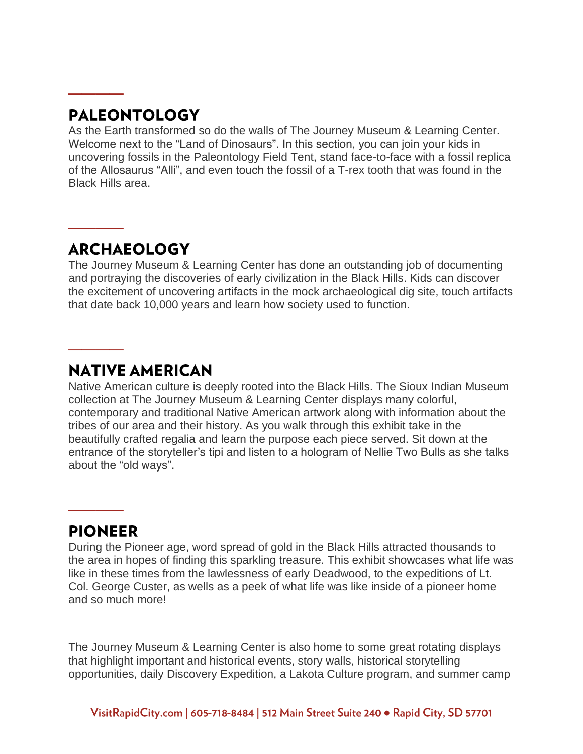# **PALEONTOLOGY**

**\_\_\_\_**

**\_\_\_\_**

**\_\_\_\_**

As the Earth transformed so do the walls of The Journey Museum & Learning Center. Welcome next to the "Land of Dinosaurs". In this section, you can join your kids in uncovering fossils in the Paleontology Field Tent, stand face-to-face with a fossil replica of the Allosaurus "Alli", and even touch the fossil of a T-rex tooth that was found in the Black Hills area.

## **ARCHAEOLOGY**

The Journey Museum & Learning Center has done an outstanding job of documenting and portraying the discoveries of early civilization in the Black Hills. Kids can discover the excitement of uncovering artifacts in the mock archaeological dig site, touch artifacts that date back 10,000 years and learn how society used to function.

## **NATIVE AMERICAN**

Native American culture is deeply rooted into the Black Hills. The Sioux Indian Museum collection at The Journey Museum & Learning Center displays many colorful, contemporary and traditional Native American artwork along with information about the tribes of our area and their history. As you walk through this exhibit take in the beautifully crafted regalia and learn the purpose each piece served. Sit down at the entrance of the storyteller's tipi and listen to a hologram of Nellie Two Bulls as she talks about the "old ways".

#### **PIONEER**

**\_\_\_\_**

During the Pioneer age, word spread of gold in the Black Hills attracted thousands to the area in hopes of finding this sparkling treasure. This exhibit showcases what life was like in these times from the lawlessness of early Deadwood, to the expeditions of Lt. Col. George Custer, as wells as a peek of what life was like inside of a pioneer home and so much more!

The Journey Museum & Learning Center is also home to some great rotating displays that highlight important and historical events, story walls, historical storytelling opportunities, daily Discovery Expedition, a Lakota Culture program, and summer camp